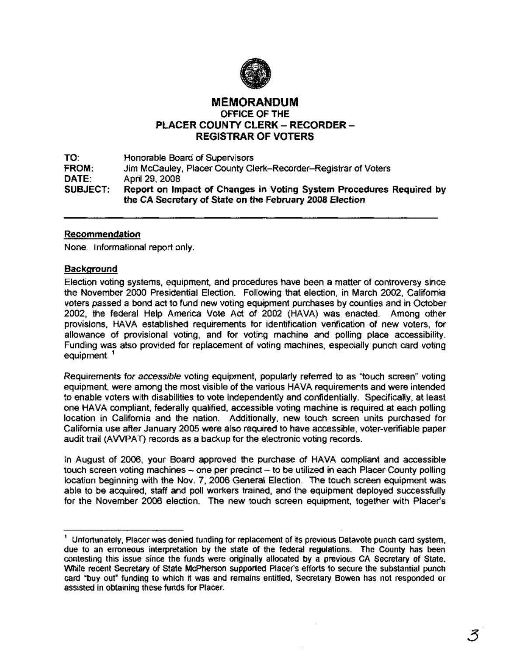

# MEMORANDUM OFFICE OF THE PLACER COUNTY CLERK - RECORDER -REGISTRAR OF VOTERS

TO: FROM: DATE: .SUBJECT: Honorable Board of Supervisors Jim McCauley, Placer County Clerk-Recorder-Registrar of Voters April 29, 2008 Report on Impact of Changes in Voting System Procedures Required by the CA Secretary of State on the February 2008 Election

### Recommendation

None. Informational report only:

### **Background**

Election voting systems, equipment, and procedures have been a matter of controversy since the November 2000 Presidential Election. Following that election, in March 2002, California voters passed a bond act to fund new voting equipment purchases by counties and in October 2002, the federal Help America Vote Act of 2002 (HAVA) was enacted. Among other provisions, HAVA established requirements for identification verification of new voters, for allowance of provisional voting, and for voting machine and polling place accessibility. Funding was also provided for replacement of voting machines, especially punch card voting equipment.<sup>1</sup>

Requirements for accessible voting equipment, popularly referred to as "touch screen" voting equipment, were among the most visible of the various HAVA requirements and were intended to enable voters with disabilities to vote independently and confidentially. Specifically, at least one HAVA compliant, federally qualified, accessible voting machine is required at each polling location in California and the nation. Additionally, new touch screen units purchased for California use after January 2005 were also required to have accessible, voter-verifiable paper audit trail (AWPAT) records as a backup for the electronic voting records.

In August of 2006, your Board approved the purchase of HAVA compliant and accessible touch screen voting machines  $\sim$  one per precinct  $\sim$  to be utilized in each Placer County polling location beginning with the Nov. 7, 2006 General Election. The touch screen equipment was able to be acquired, staff and poll workers trained, and the equipment deployed successfully for the November 2006 election. The new touch screen equipment, together with Placer's

3

<sup>1</sup> Unfortunately, Placer was denied funding for replacement of its previous Datavote punch card system, due to an erroneous interpretation by the state of the federal regulations. The County has been contesting this issue since the funds were originally allocated by a previous CA Secretary of State. While recent Secretary of State McPherson supported Placer's efforts to secure the substantial punch card "buy out" funding to which it was and remains entitled, Secretary Bowen has not responded or assisted in obtaining these funds for Placer.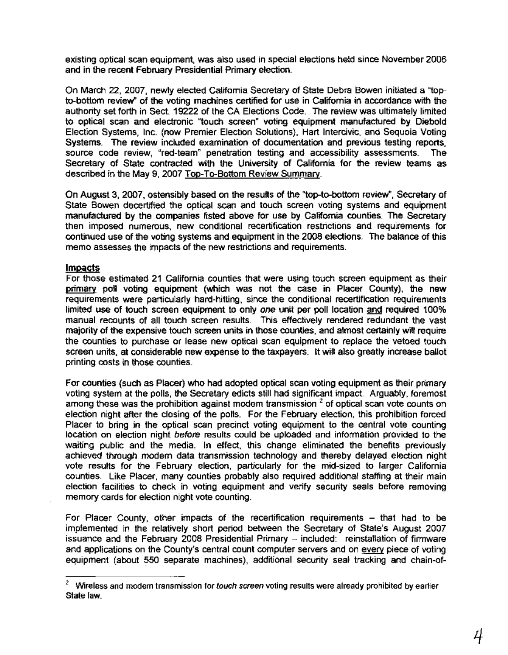existing optical scan equipment, was also used in special elections held since November 2006 and in the recent February Presidential Primary election.

On March 22,2007, newly elected California Secretary of State Debra Bowen initiated a "topto-bottom review" of the voting machines certified for use in California in accordance with the authority set forth in Sect. 19222 of the CA Elections Code. The review was ultimately limited to optical scan and electronic "touch screen" voting equipment manufactured by Diebold Election Systems, Inc. (now Premier Election Solutions), Hart Intercivic, and Sequoia Voting Systems. The review included examination of documentation and previous testing reports, source code review, "red-team" penetration testing and accessibility assessments. The Secretary of State contracted with the University of California for the review teams as described in the May 9, 2007 Top-To-Bottom Review Summary.

On August 3,2007, ostensibly based on the results of the "top-to-bottom review", Secretary of State Bowen decertified the optical scan and touch screen voting systems and equipment manufactured by the companies listed above for use by California counties. The Secretary then imposed numerous, new conditional recertification restrictions and requirements for continued use of the voting systems and equipment in the 2008 elections. The balance of this memo assesses the impacts of the new restrictions and requirements.

### **Impacts**

For those estimated 21 California counties that were using touch screen equipment as their primary poll voting equipment (which was not the case in Placer County), the new requirements were particularly hard-hitting, since the conditional recertification requirements limited use of touch screen equipment to only one unit per poll location and required 100% manual recounts of all touch screen results. This effectively rendered redundant the vast majority of the expensive touch screen units in those counties, and almost certainly will require the counties to purchase or lease new optical scan equipment to replace the vetoed touch screen units, at considerable new expense to the taxpayers. It will also greatly increase ballot printing costs in those counties.

For counties (such as Placer) who had adopted optical scan voting equipment as their primary voting system at the polls, the Secretary edicts still had significant impact. Arguably, foremost among these was the prohibition against modem transmission  $<sup>2</sup>$  of optical scan vote counts on</sup> election night after the closing of the polls. For the February election, this prohibition forced Placer to bring in the optical scan precinct voting equipment to the central vote counting location on election night before results could be uploaded and information provided to the waiting public and the media. In effect, this change eliminated the benefits previously achieved through modem data transmission technology and thereby delayed election night vote results for the February election, particularly for the mid-sized to larger California counties. Like Placer, many counties probably also required additional staffing at their main election facilities to check in voting equipment and verify security seals before removing memory cards for election night vote counting.

For Placer County, other impacts of the recertification requirements - that had to be implemented in the relatively short period between the Secretary of State's August 2007 issuance and the February 2008 Presidential Primary - included: reinstallation of firmware and applications on the County's central count computer servers and on every piece of voting equipment (about 550 separate machines), additional security seal tracking and chain-of-

Wireless and modem transmission for touch screen voting results were already prohibited by earlier State law.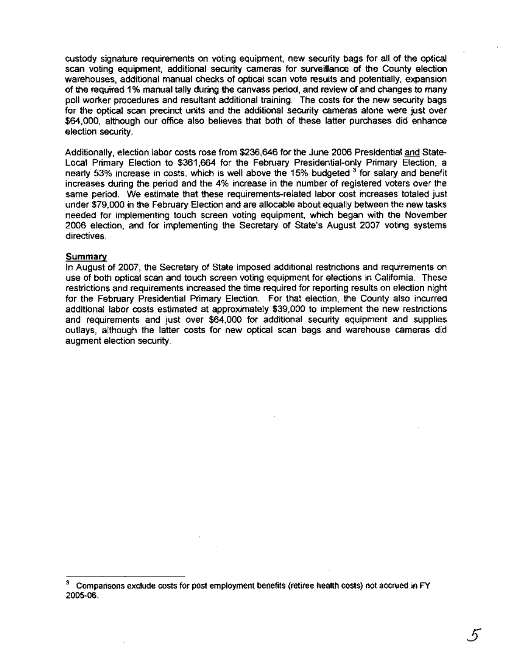custody signature requirements on voting equipment, new security bags for all of the optical scan voting equipment, additional security cameras for surveillance of the County election warehouses, additional manual checks of optical scan vote results and potentially, expansion of the required 1% manual tally during the canvass period, and review of and changes to many poll worker procedures and resultant additional training. The costs for the new security bags for the optical scan precinct units and the additional security cameras alone were just over \$64,000, although our office also believes that both of these latter purchases did enhance election security.

Additionally, election labor costs rose from \$236,646 for the June 2006 Presidential and State-Local Primary Election to \$361,664 for the February Presidential-only Primary Election, a nearly 53% increase in costs, which is well above the 15% budgeted <sup>3</sup> for salary and benefit increases during the period and the 4% increase in the number of registered voters over the same period. We estimate that these requirements-related labor cost increases totaled just under \$79,000 in the February Election and are allocable about equally between the new tasks needed for implementing touch screen voting equipment, which began with the November 2006 election, and for implementing the Secretary of State's August 2007 voting systems directives. .

#### Summary

In August of 2007, the Secretary of State imposed additional restrictions and requirements on use of both optical scan and touch screen voting equipment for elections in California. These restrictions and requirements increased the time required for reporting results on election night for the February Presidential Primary Election. For that election, the County also incurred additional labor costs estimated at approximately \$39,000 to implement the new restrictions and requirements and just over \$64,000 for additional security equipment and supplies outlays, although the latter costs for new optical scan bags and warehouse cameras did augment election security.

<sup>3</sup> Comparisons exclude costs for post employment benefits (retiree health costs) not accrued in FY 2005-06.